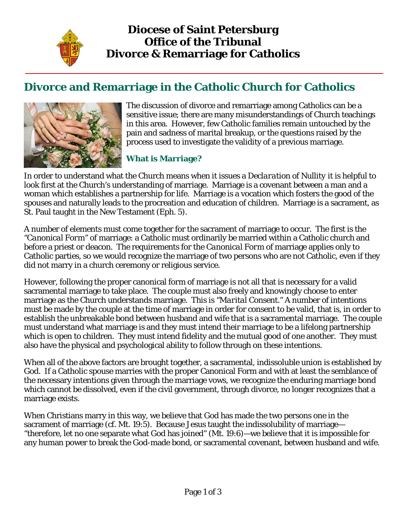

# **Divorce and Remarriage in the Catholic Church for Catholics**



The discussion of divorce and remarriage among Catholics can be a sensitive issue; there are many misunderstandings of Church teachings in this area. However, few Catholic families remain untouched by the pain and sadness of marital breakup, or the questions raised by the process used to investigate the validity of a previous marriage.

## **What is Marriage?**

In order to understand what the Church means when it issues a *Declaration of Nullity* it is helpful to look first at the Church's understanding of marriage. Marriage is a covenant between a man and a woman which establishes a partnership for life. Marriage is a vocation which fosters the good of the spouses and naturally leads to the procreation and education of children. Marriage is a sacrament, as St. Paul taught in the New Testament (Eph. 5).

A number of elements must come together for the sacrament of marriage to occur. The first is the *"Canonical Form*" of marriage: a Catholic must ordinarily be married within a Catholic church and before a priest or deacon. The requirements for the *Canonical Form* of marriage applies only to Catholic parties, so we would recognize the marriage of two persons who are not Catholic, even if they did not marry in a church ceremony or religious service.

However, following the proper canonical form of marriage is not all that is necessary for a valid sacramental marriage to take place. The couple must also freely and knowingly choose to enter marriage as the Church understands marriage. This is *"Marital Consent."* A number of intentions must be made by the couple at the time of marriage in order for consent to be valid, that is, in order to establish the unbreakable bond between husband and wife that is a sacramental marriage. The couple must understand what marriage is and they must intend their marriage to be a lifelong partnership which is open to children. They must intend fidelity and the mutual good of one another. They must also have the physical and psychological ability to follow through on these intentions.

When all of the above factors are brought together, a sacramental, indissoluble union is established by God. If a Catholic spouse marries with the proper Canonical Form and with at least the semblance of the necessary intentions given through the marriage vows, we recognize the enduring marriage bond which cannot be dissolved, even if the civil government, through divorce, no longer recognizes that a marriage exists.

When Christians marry in this way, we believe that God has made the two persons one in the sacrament of marriage (cf. Mt. 19:5). Because Jesus taught the indissolubility of marriage— "therefore, let no one separate what God has joined" (Mt. 19:6)—we believe that it is impossible for any human power to break the God-made bond, or sacramental covenant, between husband and wife.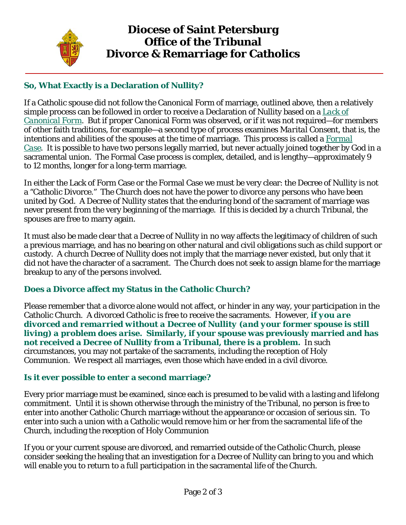

## **Diocese of Saint Petersburg Office of the Tribunal Divorce & Remarriage for Catholics**

## **So, What Exactly is a Declaration of Nullity?**

If a Catholic spouse did not follow the Canonical Form of marriage, outlined above, then a relatively simple process can be followed in order to receive a Declaration of Nullity based on a *Lack of Canonical Form*. But if proper Canonical Form was observed, or if it was not required—for members of other faith traditions, for example—a second type of process examines *Marital Consent*, that is, the intentions and abilities of the spouses at the time of marriage. This process is called a *Formal Case*. It is possible to have two persons legally married, but never actually joined together by God in a sacramental union. The Formal Case process is complex, detailed, and is lengthy—approximately 9 to 12 months, longer for a long-term marriage.

In either the Lack of Form Case or the Formal Case we must be very clear: the Decree of Nullity is not a "Catholic Divorce." The Church does not have the power to divorce any persons who have been united by God. A Decree of Nullity states that the enduring bond of the sacrament of marriage was never present from the very beginning of the marriage. If this is decided by a church Tribunal, the spouses are free to marry again.

It must also be made clear that a Decree of Nullity in no way affects the legitimacy of children of such a previous marriage, and has no bearing on other natural and civil obligations such as child support or custody. A church Decree of Nullity does not imply that the marriage never existed, but only that it did not have the character of a sacrament. The Church does not seek to assign blame for the marriage breakup to any of the persons involved.

### **Does a Divorce affect my Status in the Catholic Church?**

Please remember that a divorce alone would not affect, or hinder in any way, your participation in the Catholic Church. A divorced Catholic is free to receive the sacraments. However, *if you are divorced and remarried without a Decree of Nullity (and your former spouse is still living) a problem does arise.* **Similarly, if your spouse was previously married and has not received a Decree of Nullity from a Tribunal, there is a problem.** In such circumstances, you may not partake of the sacraments, including the reception of Holy Communion. We respect all marriages, even those which have ended in a civil divorce.

#### **Is it ever possible to enter a second marriage?**

Every prior marriage must be examined, since each is presumed to be valid with a lasting and lifelong commitment. Until it is shown otherwise through the ministry of the Tribunal, no person is free to enter into another Catholic Church marriage without the appearance or occasion of serious sin. To enter into such a union with a Catholic would remove him or her from the sacramental life of the Church, including the reception of Holy Communion

If you or your current spouse are divorced, and remarried outside of the Catholic Church, please consider seeking the healing that an investigation for a Decree of Nullity can bring to you and which will enable you to return to a full participation in the sacramental life of the Church.